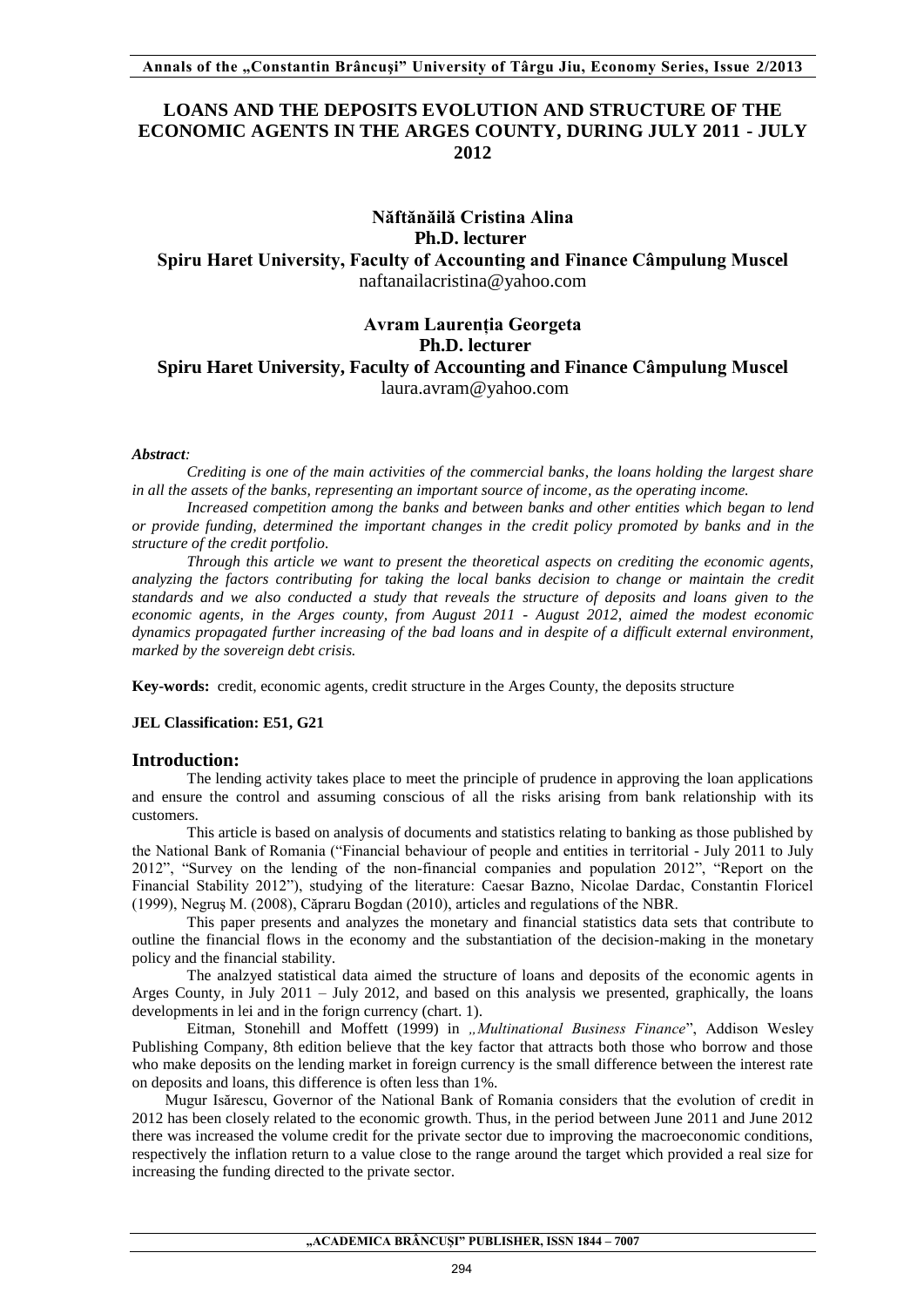# **LOANS AND THE DEPOSITS EVOLUTION AND STRUCTURE OF THE ECONOMIC AGENTS IN THE ARGES COUNTY, DURING JULY 2011 - JULY 2012**

# **Năftănăilă Cristina Alina Ph.D. lecturer Spiru Haret University, Faculty of Accounting and Finance Câmpulung Muscel** [naftanailacristina@yahoo.com](mailto:naftanailacristina@yahoo.com)

# **Avram Laurenția Georgeta Ph.D. lecturer Spiru Haret University, Faculty of Accounting and Finance Câmpulung Muscel** [laura.avram@yahoo.com](mailto:laura.avram@yahoo.com)

#### *Abstract:*

*Crediting is one of the main activities of the commercial banks, the loans holding the largest share in all the assets of the banks, representing an important source of income, as the operating income.* 

*Increased competition among the banks and between banks and other entities which began to lend or provide funding, determined the important changes in the credit policy promoted by banks and in the structure of the credit portfolio.* 

*Through this article we want to present the theoretical aspects on crediting the economic agents, analyzing the factors contributing for taking the local banks decision to change or maintain the credit standards and we also conducted a study that reveals the structure of deposits and loans given to the economic agents, in the Arges county, from August 2011 - August 2012, aimed the modest economic dynamics propagated further increasing of the bad loans and in despite of a difficult external environment, marked by the sovereign debt crisis.* 

**Key-words:** credit, economic agents, credit structure in the Arges County, the deposits structure

#### **JEL Classification: E51, G21**

#### **Introduction:**

The lending activity takes place to meet the principle of prudence in approving the loan applications and ensure the control and assuming conscious of all the risks arising from bank relationship with its customers.

This article is based on analysis of documents and statistics relating to banking as those published by the National Bank of Romania ("Financial behaviour of people and entities in territorial - July 2011 to July 2012", "Survey on the lending of the non-financial companies and population 2012", "Report on the Financial Stability 2012"), studying of the literature: Caesar Bazno, Nicolae Dardac, Constantin Floricel (1999), Negruş M. (2008), Căpraru Bogdan (2010), articles and regulations of the NBR.

This paper presents and analyzes the monetary and financial statistics data sets that contribute to outline the financial flows in the economy and the substantiation of the decision-making in the monetary policy and the financial stability.

The analzyed statistical data aimed the structure of loans and deposits of the economic agents in Arges County, in July 2011 – July 2012, and based on this analysis we presented, graphically, the loans developments in lei and in the forign currency (chart. 1).

Eitman, Stonehill and Moffett (1999) in *"Multinational Business Finance*", Addison Wesley Publishing Company, 8th edition believe that the key factor that attracts both those who borrow and those who make deposits on the lending market in foreign currency is the small difference between the interest rate on deposits and loans, this difference is often less than 1%.

Mugur Isărescu, Governor of the National Bank of Romania considers that the evolution of credit in 2012 has been closely related to the economic growth. Thus, in the period between June 2011 and June 2012 there was increased the volume credit for the private sector due to improving the macroeconomic conditions, respectively the inflation return to a value close to the range around the target which provided a real size for increasing the funding directed to the private sector.

**"ACADEMICA BRÂNCUŞI" PUBLISHER, ISSN 1844 – 7007**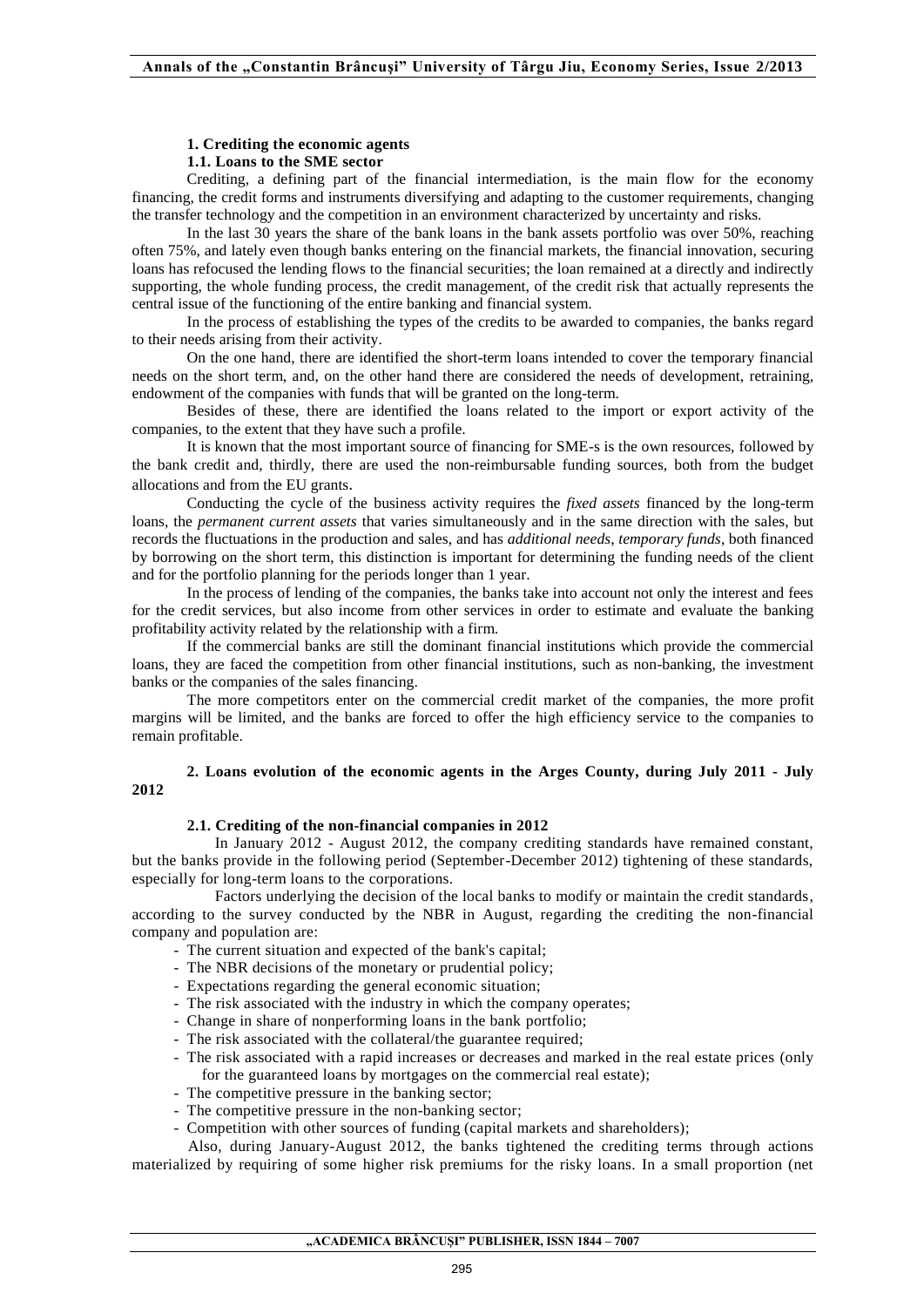# **1. Crediting the economic agents**

## **1.1. Loans to the SME sector**

Crediting, a defining part of the financial intermediation, is the main flow for the economy financing, the credit forms and instruments diversifying and adapting to the customer requirements, changing the transfer technology and the competition in an environment characterized by uncertainty and risks.

In the last 30 years the share of the bank loans in the bank assets portfolio was over 50%, reaching often 75%, and lately even though banks entering on the financial markets, the financial innovation, securing loans has refocused the lending flows to the financial securities; the loan remained at a directly and indirectly supporting, the whole funding process, the credit management, of the credit risk that actually represents the central issue of the functioning of the entire banking and financial system.

In the process of establishing the types of the credits to be awarded to companies, the banks regard to their needs arising from their activity.

On the one hand, there are identified the short-term loans intended to cover the temporary financial needs on the short term, and, on the other hand there are considered the needs of development, retraining, endowment of the companies with funds that will be granted on the long-term.

Besides of these, there are identified the loans related to the import or export activity of the companies, to the extent that they have such a profile.

It is known that the most important source of financing for SME-s is the own resources, followed by the bank credit and, thirdly, there are used the non-reimbursable funding sources, both from the budget allocations and from the EU grants.

Conducting the cycle of the business activity requires the *fixed assets* financed by the long-term loans, the *permanent current assets* that varies simultaneously and in the same direction with the sales, but records the fluctuations in the production and sales, and has *additional needs*, *temporary funds*, both financed by borrowing on the short term, this distinction is important for determining the funding needs of the client and for the portfolio planning for the periods longer than 1 year.

In the process of lending of the companies, the banks take into account not only the interest and fees for the credit services, but also income from other services in order to estimate and evaluate the banking profitability activity related by the relationship with a firm.

If the commercial banks are still the dominant financial institutions which provide the commercial loans, they are faced the competition from other financial institutions, such as non-banking, the investment banks or the companies of the sales financing.

The more competitors enter on the commercial credit market of the companies, the more profit margins will be limited, and the banks are forced to offer the high efficiency service to the companies to remain profitable.

## **2. Loans evolution of the economic agents in the Arges County, during July 2011 - July 2012**

# **2.1. Crediting of the non-financial companies in 2012**

In January 2012 - August 2012, the company crediting standards have remained constant, but the banks provide in the following period (September-December 2012) tightening of these standards, especially for long-term loans to the corporations.

Factors underlying the decision of the local banks to modify or maintain the credit standards, according to the survey conducted by the NBR in August, regarding the crediting the non-financial company and population are:

- The current situation and expected of the bank's capital;
- The NBR decisions of the monetary or prudential policy;
- Expectations regarding the general economic situation;
- The risk associated with the industry in which the company operates;
- Change in share of nonperforming loans in the bank portfolio;
- The risk associated with the collateral/the guarantee required;
- The risk associated with a rapid increases or decreases and marked in the real estate prices (only for the guaranteed loans by mortgages on the commercial real estate);
- The competitive pressure in the banking sector;
- The competitive pressure in the non-banking sector;
- Competition with other sources of funding (capital markets and shareholders);

Also, during January-August 2012, the banks tightened the crediting terms through actions materialized by requiring of some higher risk premiums for the risky loans. In a small proportion (net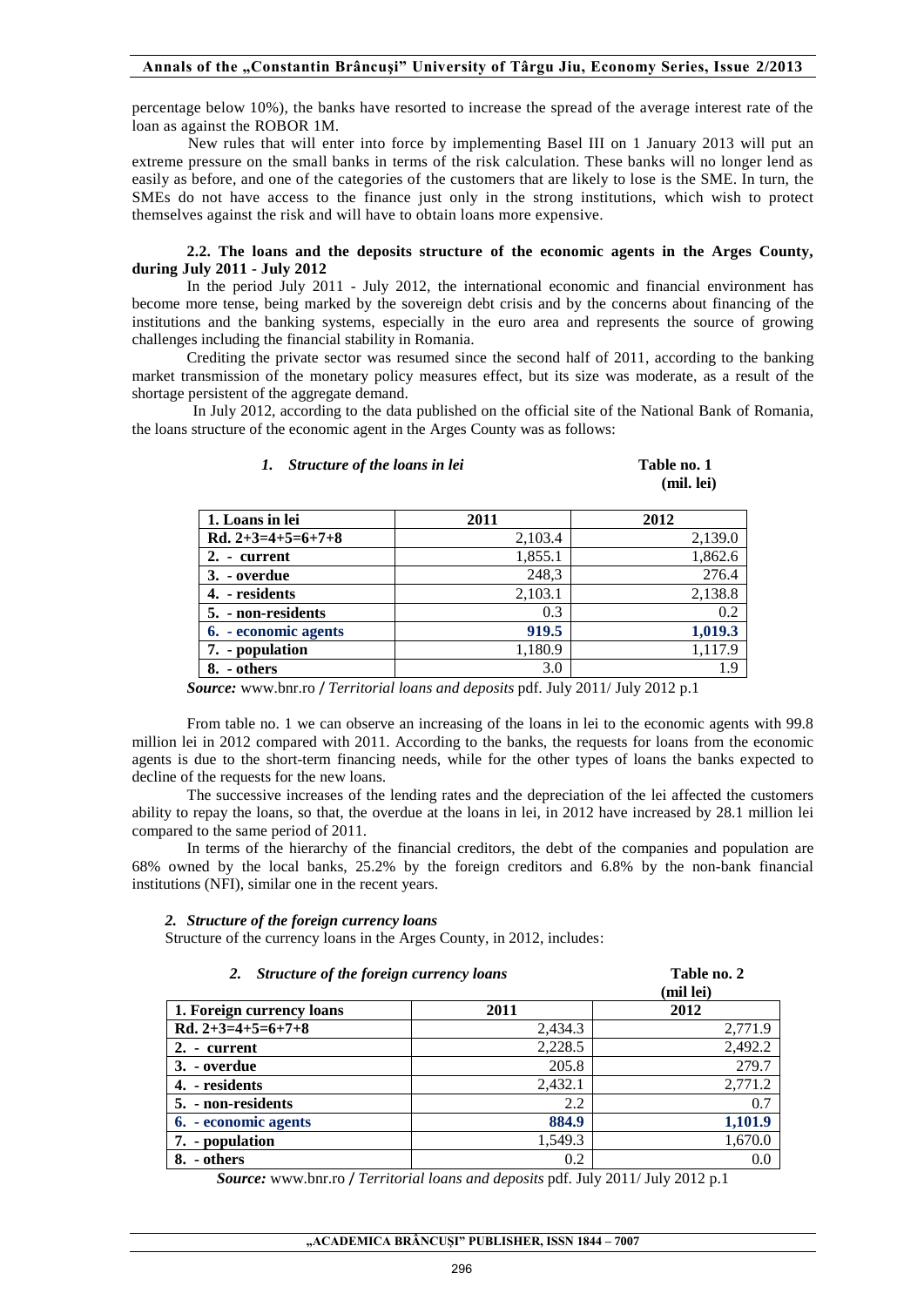#### **Annals of the "Constantin Brâncuşi" University of Târgu Jiu, Economy Series, Issue 2/2013**

percentage below 10%), the banks have resorted to increase the spread of the average interest rate of the loan as against the ROBOR 1M.

New rules that will enter into force by implementing Basel III on 1 January 2013 will put an extreme pressure on the small banks in terms of the risk calculation. These banks will no longer lend as easily as before, and one of the categories of the customers that are likely to lose is the SME. In turn, the SMEs do not have access to the finance just only in the strong institutions, which wish to protect themselves against the risk and will have to obtain loans more expensive.

#### **2.2. The loans and the deposits structure of the economic agents in the Arges County, during July 2011 - July 2012**

In the period July 2011 - July 2012, the international economic and financial environment has become more tense, being marked by the sovereign debt crisis and by the concerns about financing of the institutions and the banking systems, especially in the euro area and represents the source of growing challenges including the financial stability in Romania.

Crediting the private sector was resumed since the second half of 2011, according to the banking market transmission of the monetary policy measures effect, but its size was moderate, as a result of the shortage persistent of the aggregate demand.

In July 2012, according to the data published on the official site of the National Bank of Romania, the loans structure of the economic agent in the Arges County was as follows:

#### *1. Structure of the loans in lei* **Table no. 1**

**(mil. lei)**

| 1. Loans in lei      | 2011    | 2012    |
|----------------------|---------|---------|
| Rd. $2+3=4+5=6+7+8$  | 2,103.4 | 2,139.0 |
| 2. - current         | 1,855.1 | 1,862.6 |
| 3. - overdue         | 248,3   | 276.4   |
| 4. - residents       | 2,103.1 | 2,138.8 |
| 5. - non-residents   | 0.3     | 0.2     |
| 6. - economic agents | 919.5   | 1,019.3 |
| 7. - population      | 1,180.9 | 1,117.9 |
| - others             | 3.0     | 1.9     |

*Source:* www.bnr.ro / *Territorial loans and deposits* pdf. July 2011/ July 2012 p.1

From table no. 1 we can observe an increasing of the loans in lei to the economic agents with 99.8 million lei in 2012 compared with 2011. According to the banks, the requests for loans from the economic agents is due to the short-term financing needs, while for the other types of loans the banks expected to decline of the requests for the new loans.

The successive increases of the lending rates and the depreciation of the lei affected the customers ability to repay the loans, so that, the overdue at the loans in lei, in 2012 have increased by 28.1 million lei compared to the same period of 2011.

 In terms of the hierarchy of the financial creditors, the debt of the companies and population are 68% owned by the local banks, 25.2% by the foreign creditors and 6.8% by the non-bank financial institutions (NFI), similar one in the recent years.

#### *2. Structure of the foreign currency loans*

Structure of the currency loans in the Arges County, in 2012, includes:

| Structure of the foreign currency loans<br>2. |         | Table no. 2<br>(mil lei) |
|-----------------------------------------------|---------|--------------------------|
| 1. Foreign currency loans                     | 2011    | 2012                     |
| Rd. $2+3=4+5=6+7+8$                           | 2,434.3 | 2,771.9                  |
| $2. - current$                                | 2,228.5 | 2,492.2                  |
| 3. - overdue                                  | 205.8   | 279.7                    |
| 4. - residents                                | 2,432.1 | 2,771.2                  |
| 5. - non-residents                            | 2.2     | 0.7                      |
| 6. - economic agents                          | 884.9   | 1,101.9                  |
| 7. - population                               | 1,549.3 | 1,670.0                  |
| 8. - others                                   | 0.2     | 0.0                      |

*Source:* www.bnr.ro / *Territorial loans and deposits* pdf. July 2011/ July 2012 p.1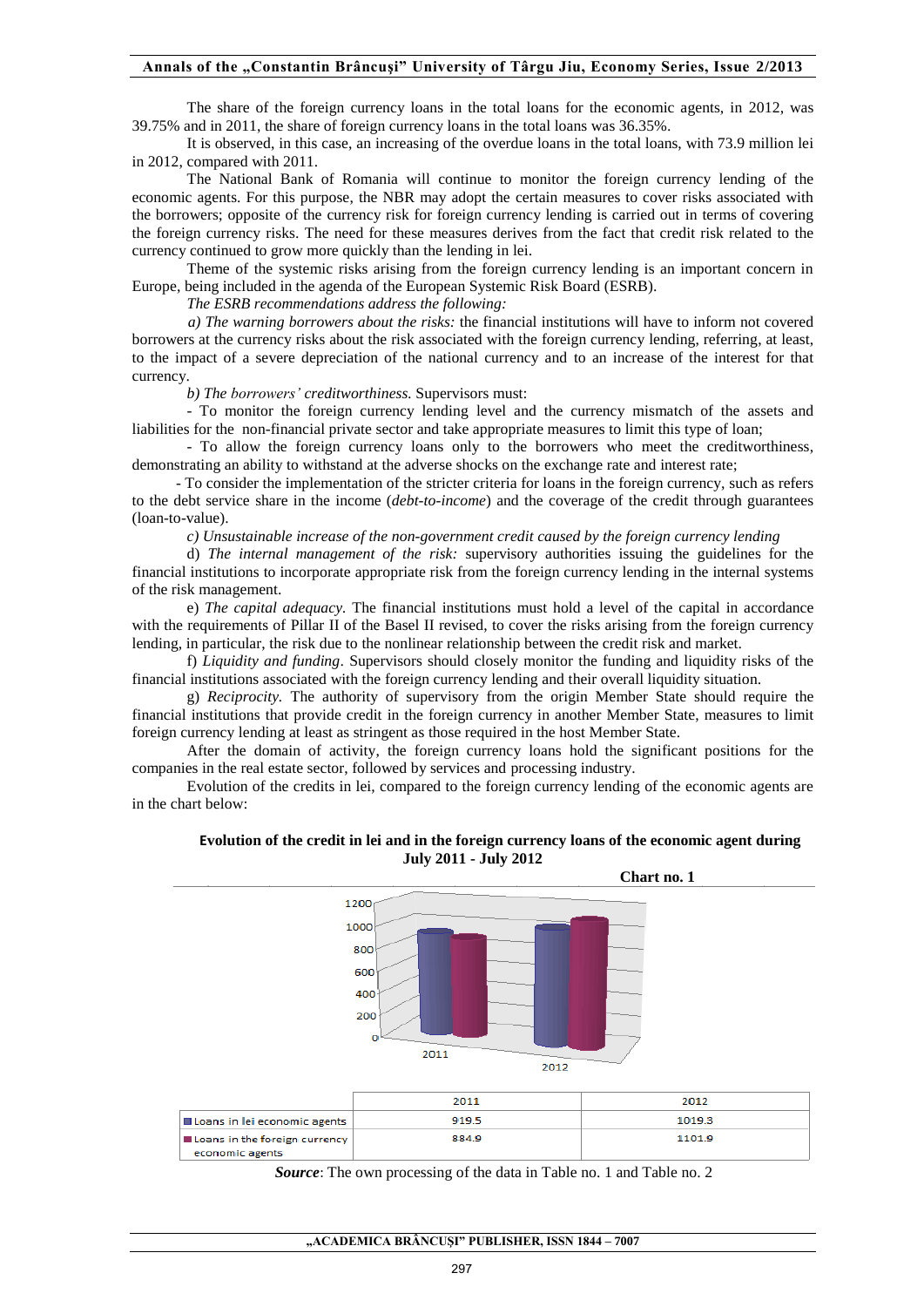#### **Annals of the "Constantin Brâncuşi" University of Târgu Jiu, Economy Series, Issue 2/2013**

The share of the foreign currency loans in the total loans for the economic agents, in 2012, was 39.75% and in 2011, the share of foreign currency loans in the total loans was 36.35%.

It is observed, in this case, an increasing of the overdue loans in the total loans, with 73.9 million lei in 2012, compared with 2011.

The National Bank of Romania will continue to monitor the foreign currency lending of the economic agents. For this purpose, the NBR may adopt the certain measures to cover risks associated with the borrowers; opposite of the currency risk for foreign currency lending is carried out in terms of covering the foreign currency risks. The need for these measures derives from the fact that credit risk related to the currency continued to grow more quickly than the lending in lei.

Theme of the systemic risks arising from the foreign currency lending is an important concern in Europe, being included in the agenda of the European Systemic Risk Board (ESRB).

*The ESRB recommendations address the following:* 

 *a) The warning borrowers about the risks:* the financial institutions will have to inform not covered borrowers at the currency risks about the risk associated with the foreign currency lending, referring, at least, to the impact of a severe depreciation of the national currency and to an increase of the interest for that currency.

*b) The borrowers' creditworthiness.* Supervisors must:

- To monitor the foreign currency lending level and the currency mismatch of the assets and liabilities for the non-financial private sector and take appropriate measures to limit this type of loan;

- To allow the foreign currency loans only to the borrowers who meet the creditworthiness, demonstrating an ability to withstand at the adverse shocks on the exchange rate and interest rate;

 - To consider the implementation of the stricter criteria for loans in the foreign currency, such as refers to the debt service share in the income (*debt-to-income*) and the coverage of the credit through guarantees (loan-to-value).

*c) Unsustainable increase of the non-government credit caused by the foreign currency lending* 

d) *The internal management of the risk:* supervisory authorities issuing the guidelines for the financial institutions to incorporate appropriate risk from the foreign currency lending in the internal systems of the risk management.

e) *The capital adequacy.* The financial institutions must hold a level of the capital in accordance with the requirements of Pillar II of the Basel II revised, to cover the risks arising from the foreign currency lending, in particular, the risk due to the nonlinear relationship between the credit risk and market.

f) *Liquidity and funding*. Supervisors should closely monitor the funding and liquidity risks of the financial institutions associated with the foreign currency lending and their overall liquidity situation.

g) *Reciprocity.* The authority of supervisory from the origin Member State should require the financial institutions that provide credit in the foreign currency in another Member State, measures to limit foreign currency lending at least as stringent as those required in the host Member State.

After the domain of activity, the foreign currency loans hold the significant positions for the companies in the real estate sector, followed by services and processing industry.

Evolution of the credits in lei, compared to the foreign currency lending of the economic agents are in the chart below:





|                                        | 2011  | 2012   |
|----------------------------------------|-------|--------|
| <b>IL Loans in lei economic agents</b> | 919.5 | 1019.3 |
| <b>I</b> Loans in the foreign currency | 884.9 | 1101.9 |
| economic agents                        |       |        |

*Source*: The own processing of the data in Table no. 1 and Table no. 2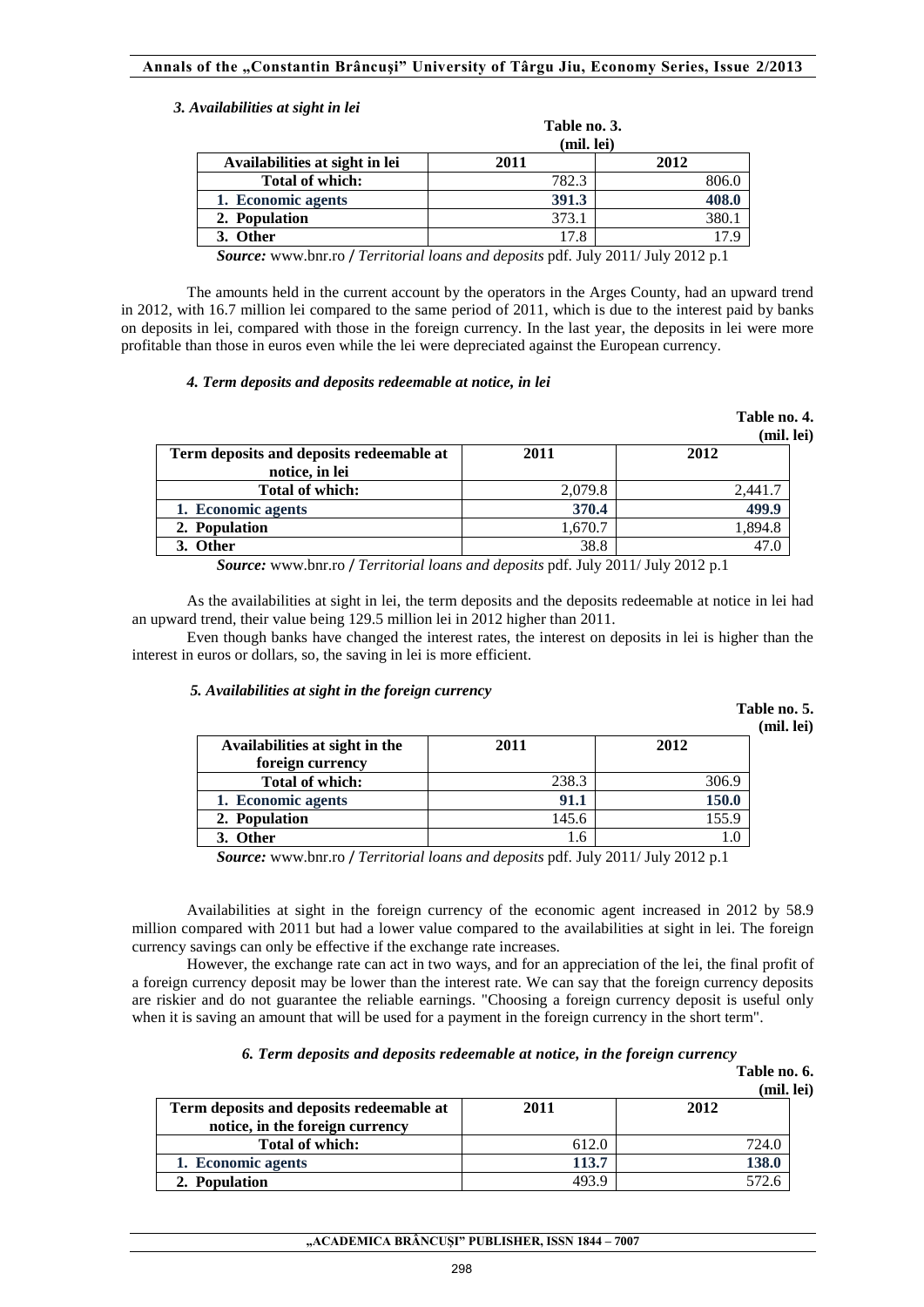#### *3. Availabilities at sight in lei*

|                                | Table no. 3.<br>(mil. lei) |       |
|--------------------------------|----------------------------|-------|
| Availabilities at sight in lei | 2011                       | 2012  |
| <b>Total of which:</b>         | 782.3                      | 806.0 |
| 1. Economic agents             | 391.3                      | 408.0 |
| 2. Population                  | 373.1                      | 380.  |
| 3. Other                       | 17.8                       | 17 Q  |

*Source:* www.bnr.ro / *Territorial loans and deposits* pdf. July 2011/ July 2012 p.1

The amounts held in the current account by the operators in the Arges County, had an upward trend in 2012, with 16.7 million lei compared to the same period of 2011, which is due to the interest paid by banks on deposits in lei, compared with those in the foreign currency. In the last year, the deposits in lei were more profitable than those in euros even while the lei were depreciated against the European currency.

# *4. Term deposits and deposits redeemable at notice, in lei*

|                                                            |              | Table no. 4.<br>(mil. lei) |
|------------------------------------------------------------|--------------|----------------------------|
| Term deposits and deposits redeemable at<br>notice, in lei | 2011         | 2012                       |
| <b>Total of which:</b>                                     | 2,079.8      | 2.441.7                    |
| 1. Economic agents                                         | 370.4        | 499.9                      |
| 2. Population                                              | 1,670.7      | 1,894.8                    |
| 3. Other                                                   | 38.8         | 47.0                       |
| $\sqrt{2}$<br>$\sim$                                       | $\mathbf{v}$ | 10.71.0011/T1.0010         |

*Source:* www.bnr.ro / *Territorial loans and deposits* pdf. July 2011/ July 2012 p.1

As the availabilities at sight in lei, the term deposits and the deposits redeemable at notice in lei had an upward trend, their value being 129.5 million lei in 2012 higher than 2011.

Even though banks have changed the interest rates, the interest on deposits in lei is higher than the interest in euros or dollars, so, the saving in lei is more efficient.

#### *5. Availabilities at sight in the foreign currency*

 **Table no. 5. (mil. lei)** 

| Availabilities at sight in the | 2011  | 2012  |
|--------------------------------|-------|-------|
| foreign currency               |       |       |
| <b>Total of which:</b>         | 238.3 | 306.9 |
| 1. Economic agents             | 91.1  | 150.0 |
| 2. Population                  | 145.6 | 155.9 |
| 3. Other                       | 1.6   |       |

*Source:* www.bnr.ro / *Territorial loans and deposits* pdf. July 2011/ July 2012 p.1

 Availabilities at sight in the foreign currency of the economic agent increased in 2012 by 58.9 million compared with 2011 but had a lower value compared to the availabilities at sight in lei. The foreign currency savings can only be effective if the exchange rate increases.

 However, the exchange rate can act in two ways, and for an appreciation of the lei, the final profit of a foreign currency deposit may be lower than the interest rate. We can say that the foreign currency deposits are riskier and do not guarantee the reliable earnings. "Choosing a foreign currency deposit is useful only when it is saving an amount that will be used for a payment in the foreign currency in the short term".

# *6. Term deposits and deposits redeemable at notice, in the foreign currency*

| Table no. 6.  |  |
|---------------|--|
| $(mil \; ln)$ |  |

|                                                                             |       | (mil. lei) |
|-----------------------------------------------------------------------------|-------|------------|
| Term deposits and deposits redeemable at<br>notice, in the foreign currency | 2011  | 2012       |
| <b>Total of which:</b>                                                      | 612.0 | 724.0      |
| 1. Economic agents                                                          | 113.7 | 138.0      |
| 2. Population                                                               | 103 O | 572.6      |